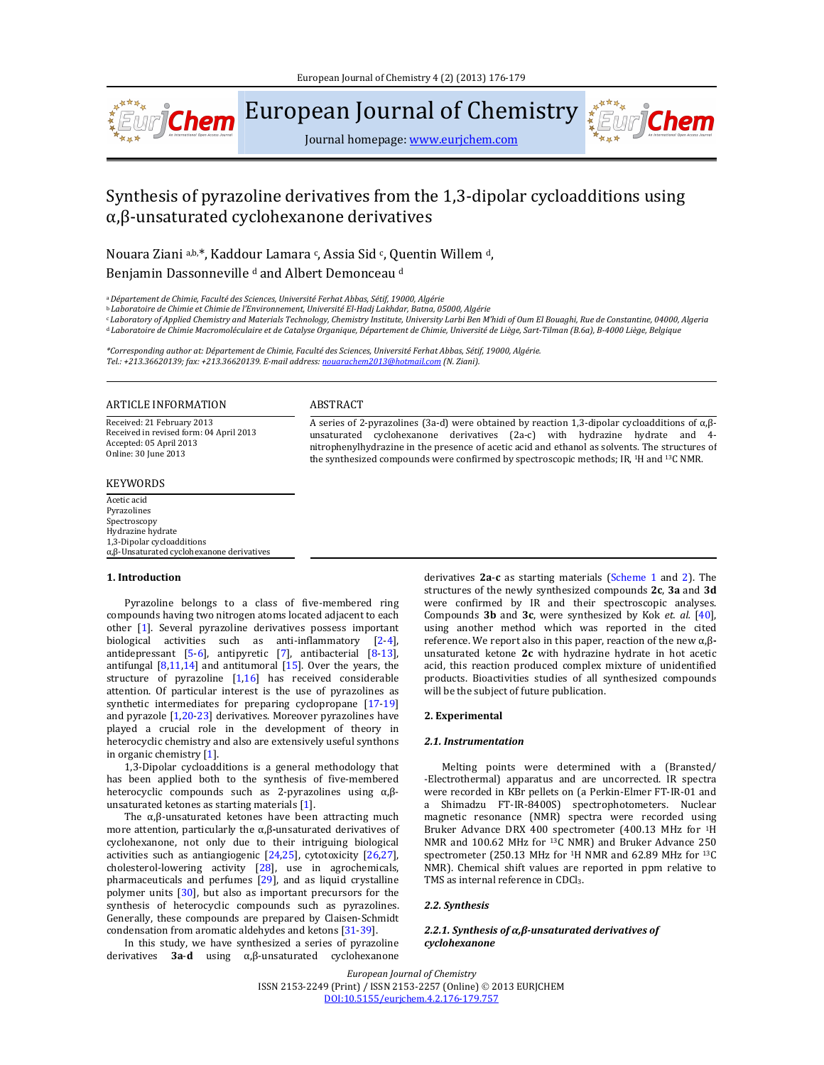

European Journal of Chemistry

Journal homepage: www.eurjchem.com

# Synthesis of pyrazoline derivatives from the 1,3-dipolar cycloadditions using α,β‐unsaturated cyclohexanone derivatives

Nouara Ziani a,b,\*, Kaddour Lamara c, Assia Sid c, Quentin Willem d, Benjamin Dassonneville<sup>d</sup> and Albert Demonceau<sup>d</sup>

<sup>a</sup>*Département de Chimie, Faculté des Sciences, Université Ferhat Abbas, Sétif, 19000, Algérie*

<sup>b</sup> *Laboratoire de Chimie et Chimie de l'Environnement, Université El‐Hadj Lakhdar, Batna, 05000, Algérie*

«Laboratory of Applied Chemistry and Materials Technology, Chemistry Institute, University Larbi Ben M'hidi of Oum El Bouaghi, Rue de Constantine, 04000, Algeria <sup>d</sup> Laboratoire de Chimie Macromoléculaire et de Catalyse Organique, Département de Chimie, Université de Liège, Sart-Tilman (B.6a), B-4000 Liège, Belgique

*\*Corresponding author at: Département de Chimie, Faculté des Sciences, Université Ferhat Abbas, Sétif, 19000, Algérie. Tel.: +213.36620139; fax: +213.36620139. E‐mail address: nouarachem2013@hotmail.com (N. Ziani).*

## ARTICLE INFORMATION ABSTRACT

Received: 21 February 2013 Received in revised form: 04 April 2013 Accepted: 05 April 2013 Online: 30 June 2013 

# KEYWORDS

Acetic acid Pyrazolines Spectroscopy Hydrazine hydrate 1,3‐Dipolar cycloadditions α,β‐Unsaturated cyclohexanone derivatives 

#### **1. Introduction**

Pyrazoline belongs to a class of five-membered ring compounds having two nitrogen atoms located adjacent to each other [1]. Several pyrazoline derivatives possess important biological activities such as anti-inflammatory [2-4], antidepressant  $[5-6]$ , antipyretic  $[7]$ , antibacterial  $[8-13]$ , antifungal  $[8,11,14]$  and antitumoral  $[15]$ . Over the years, the structure of pyrazoline  $[1,16]$  has received considerable attention. Of particular interest is the use of pyrazolines as synthetic intermediates for preparing cyclopropane  $[17-19]$ and pyrazole  $[1,20-23]$  derivatives. Moreover pyrazolines have played a crucial role in the development of theory in heterocyclic chemistry and also are extensively useful synthons in organic chemistry  $[1]$ .

1,3-Dipolar cycloadditions is a general methodology that has been applied both to the synthesis of five-membered heterocyclic compounds such as 2-pyrazolines using  $\alpha$ , $\beta$ unsaturated ketones as starting materials  $[1]$ .

The  $\alpha$ ,β-unsaturated ketones have been attracting much more attention, particularly the α,β-unsaturated derivatives of cyclohexanone, not only due to their intriguing biological activities such as antiangiogenic  $[24,25]$ , cytotoxicity  $[26,27]$ , cholesterol-lowering activity  $[28]$ , use in agrochemicals, pharmaceuticals and perfumes  $[29]$ , and as liquid crystalline polymer units  $[30]$ , but also as important precursors for the synthesis of heterocyclic compounds such as pyrazolines. Generally, these compounds are prepared by Claisen-Schmidt condensation from aromatic aldehydes and ketons [31-39].

In this study, we have synthesized a series of pyrazoline derivatives **3a**‐**d** using α,β‐unsaturated cyclohexanone 

derivatives **2a-c** as starting materials (Scheme 1 and 2). The structures of the newly synthesized compounds 2c, 3a and 3d were confirmed by IR and their spectroscopic analyses. Compounds **3b** and **3c**, were synthesized by Kok *et. al.* [40], using another method which was reported in the cited reference. We report also in this paper, reaction of the new α,βunsaturated ketone 2c with hydrazine hydrate in hot acetic acid, this reaction produced complex mixture of unidentified products. Bioactivities studies of all synthesized compounds will be the subject of future publication.

A series of 2-pyrazolines (3a-d) were obtained by reaction 1,3-dipolar cycloadditions of  $\alpha$ , $\beta$ unsaturated cyclohexanone derivatives (2a-c) with hydrazine hydrate and 4nitrophenylhydrazine in the presence of acetic acid and ethanol as solvents. The structures of the synthesized compounds were confirmed by spectroscopic methods; IR, <sup>1</sup>H and <sup>13</sup>C NMR.

### **2. Experimental**

## *2.1. Instrumentation*

Melting points were determined with a (Bransted/ ‐Electrothermal) apparatus and are uncorrected. IR spectra were recorded in KBr pellets on (a Perkin-Elmer FT-IR-01 and a Shimadzu FT-IR-8400S) spectrophotometers. Nuclear magnetic resonance (NMR) spectra were recorded using Bruker Advance DRX 400 spectrometer (400.13 MHz for <sup>1</sup>H NMR and 100.62 MHz for  $^{13}C$  NMR) and Bruker Advance 250 spectrometer (250.13 MHz for  $1H$  NMR and 62.89 MHz for  $13C$ NMR). Chemical shift values are reported in ppm relative to TMS as internal reference in CDCl<sub>3</sub>.

#### *2.2. Synthesis*

# *2.2.1. Synthesis of α,β‐unsaturated derivatives of cyclohexanone*

*European Journal of Chemistry* ISSN 2153-2249 (Print) / ISSN 2153-2257 (Online) © 2013 EURJCHEM DOI:10.5155/eurjchem.4.2.176‐179.757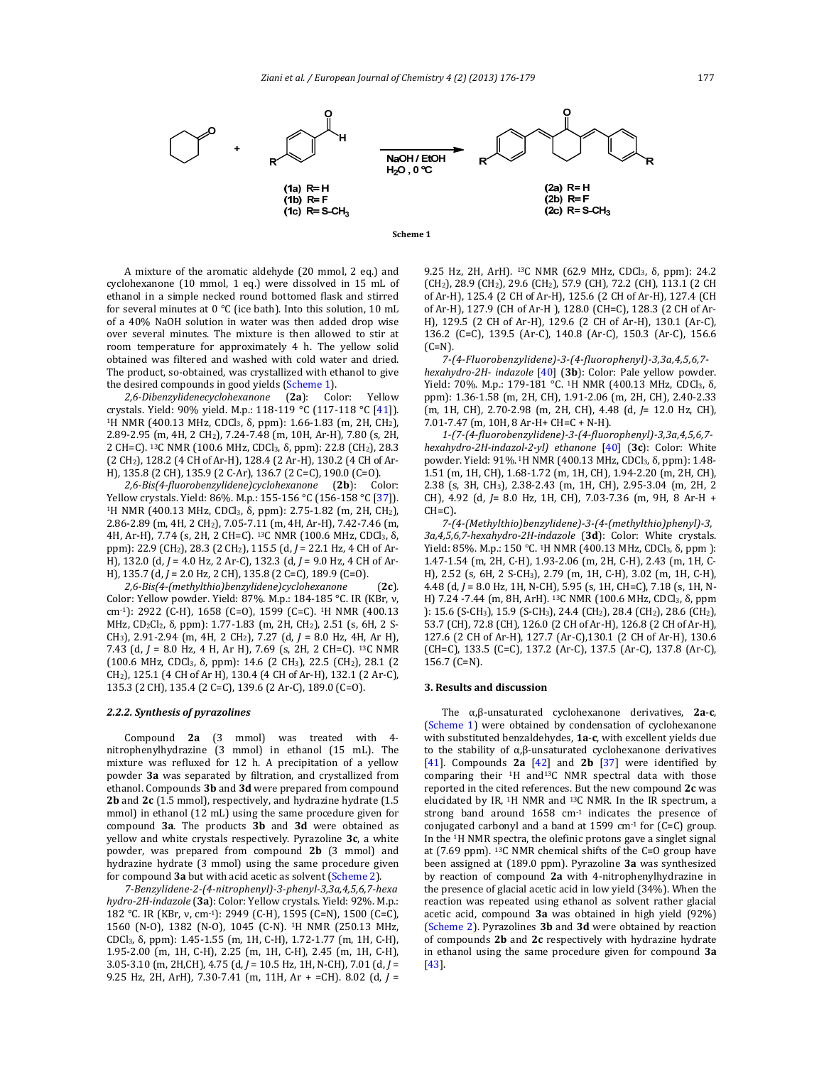



A mixture of the aromatic aldehyde (20 mmol, 2 eq.) and cyclohexanone  $(10 \text{ mmol}, 1 \text{ eq.})$  were dissolved in  $15 \text{ mL of}$ ethanol in a simple necked round bottomed flask and stirred for several minutes at  $0 °C$  (ice bath). Into this solution, 10 mL of a 40% NaOH solution in water was then added drop wise over several minutes. The mixture is then allowed to stir at room temperature for approximately 4 h. The yellow solid obtained was filtered and washed with cold water and dried. The product, so-obtained, was crystallized with ethanol to give the desired compounds in good yields (Scheme 1).

*2,6‐Dibenzylidenecyclohexanone* (**2a**): Color: Yellow crystals. Yield: 90% yield. M.p.: 118-119 °C (117-118 °C [41]). <sup>1</sup>H NMR (400.13 MHz, CDCl<sub>3</sub>, δ, ppm): 1.66-1.83 (m, 2H, CH<sub>2</sub>), 2.89-2.95 (m, 4H, 2 CH<sub>2</sub>), 7.24-7.48 (m, 10H, Ar-H), 7.80 (s, 2H, 2 CH=C). <sup>13</sup>C NMR (100.6 MHz, CDCl<sub>3</sub>, δ, ppm): 22.8 (CH<sub>2</sub>), 28.3 (2 CH<sub>2</sub>), 128.2 (4 CH of Ar-H), 128.4 (2 Ar-H), 130.2 (4 CH of Ar-H), 135.8 (2 CH), 135.9 (2 C-Ar), 136.7 (2 C=C), 190.0 (C=O).

*2,6‐Bis(4‐fluorobenzylidene)cyclohexanone* (**2b**): Color: Yellow crystals. Yield: 86%. M.p.: 155-156 °C (156-158 °C [37]). <sup>1</sup>H NMR (400.13 MHz, CDCl<sub>3</sub>, δ, ppm): 2.75-1.82 (m, 2H, CH<sub>2</sub>), 2.86-2.89 (m, 4H, 2 CH<sub>2</sub>), 7.05-7.11 (m, 4H, Ar-H), 7.42-7.46 (m, 4H, Ar-H), 7.74 (s, 2H, 2 CH=C). <sup>13</sup>C NMR (100.6 MHz, CDCl<sub>3</sub>, δ, ppm): 22.9 (CH<sub>2</sub>), 28.3 (2 CH<sub>2</sub>), 115.5 (d, *J* = 22.1 Hz, 4 CH of Ar-H), 132.0 (d, *J* = 4.0 Hz, 2 Ar-C), 132.3 (d, *J* = 9.0 Hz, 4 CH of Ar-H), 135.7 (d, *J* = 2.0 Hz, 2 CH), 135.8 (2 C=C), 189.9 (C=O).

*2,6‐Bis(4‐(methylthio)benzylidene)cyclohexanone* (**2c**)*.* Color: Yellow powder. Yield: 87%. M.p.: 184-185 °C. IR (KBr, ν, cm<sup>-1</sup>): 2922 (C-H), 1658 (C=O), 1599 (C=C). <sup>1</sup>H NMR (400.13 MHz, CD<sub>2</sub>Cl<sub>2</sub>, δ, ppm): 1.77-1.83 (m, 2H, CH<sub>2</sub>), 2.51 (s, 6H, 2 S-CH<sub>3</sub>), 2.91-2.94 (m, 4H, 2 CH<sub>2</sub>), 7.27 (d,  $J = 8.0$  Hz, 4H, Ar H), 7.43 (d, *J* = 8.0 Hz, 4 H, Ar H), 7.69 (s, 2H, 2 CH=C). <sup>13</sup>C NMR (100.6 MHz, CDCl3, δ, ppm): 14.6 (2 CH3), 22.5 (CH2), 28.1 (2 CH<sub>2</sub>), 125.1 (4 CH of Ar H), 130.4 (4 CH of Ar-H), 132.1 (2 Ar-C), 135.3 (2 CH), 135.4 (2 C=C), 139.6 (2 Ar-C), 189.0 (C=O).

#### *2.2.2. Synthesis of pyrazolines*

Compound 2a (3 mmol) was treated with 4nitrophenylhydrazine (3 mmol) in ethanol (15 mL). The mixture was refluxed for 12 h. A precipitation of a yellow powder 3a was separated by filtration, and crystallized from ethanol. Compounds **3b** and **3d** were prepared from compound **2b** and **2c** (1.5 mmol), respectively, and hydrazine hydrate (1.5) mmol) in ethanol (12 mL) using the same procedure given for compound **3a**. The products **3b** and **3d** were obtained as yellow and white crystals respectively. Pyrazoline 3c, a white powder, was prepared from compound 2b (3 mmol) and hydrazine hydrate (3 mmol) using the same procedure given for compound **3a** but with acid acetic as solvent (Scheme 2).

*7‐Benzylidene‐2‐(4‐nitrophenyl)‐3‐phenyl‐3,3a,4,5,6,7‐hexa hydro‐2H‐indazole* (**3a**): Color: Yellow crystals. Yield: 92%. M.p.: 182 °C. IR (KBr, ν, cm<sup>-1</sup>): 2949 (C-H), 1595 (C=N), 1500 (C=C), 1560 (N-O), 1382 (N-O), 1045 (C-N). <sup>1</sup>H NMR (250.13 MHz, CDCl<sub>3</sub>, δ, ppm): 1.45-1.55 (m, 1H, C-H), 1.72-1.77 (m, 1H, C-H), 1.95‐2.00 (m, 1H, C‐H), 2.25 (m, 1H, C‐H), 2.45 (m, 1H, C‐H), 3.05-3.10 (m, 2H,CH), 4.75 (d, *J* = 10.5 Hz, 1H, N-CH), 7.01 (d, *J* = 9.25 Hz, 2H, ArH), 7.30-7.41 (m, 11H, Ar + =CH). 8.02 (d, *J* = 9.25 Hz, 2H, ArH). <sup>13</sup>C NMR (62.9 MHz, CDCl<sub>3</sub>, δ, ppm): 24.2  $(CH<sub>2</sub>)$ , 28.9 (CH<sub>2</sub>), 29.6 (CH<sub>2</sub>), 57.9 (CH), 72.2 (CH), 113.1 (2 CH) of Ar-H), 125.4 (2 CH of Ar-H), 125.6 (2 CH of Ar-H), 127.4 (CH of Ar-H), 127.9 (CH of Ar-H), 128.0 (CH=C), 128.3 (2 CH of Ar-H), 129.5 (2 CH of Ar-H), 129.6 (2 CH of Ar-H), 130.1 (Ar-C), 136.2 (C=C), 139.5 (Ar-C), 140.8 (Ar-C), 150.3 (Ar-C), 156.6  $(C=N)$ .

*7‐(4‐Fluorobenzylidene)‐3‐(4‐fluorophenyl)‐3,3a,4,5,6,7‐ hexahydro*-2H- *indazole* [40] (3b): Color: Pale yellow powder. Yield: 70%. M.p.: 179-181 °C. <sup>1</sup>H NMR (400.13 MHz, CDCl<sub>3</sub>, δ, ppm): 1.36-1.58 (m, 2H, CH), 1.91-2.06 (m, 2H, CH), 2.40-2.33 (m, 1H, CH), 2.70‐2.98 (m, 2H, CH), 4.48 (d, *J*= 12.0 Hz, CH), 7.01-7.47 (m, 10H, 8 Ar-H+ CH=C + N-H).

*1‐(7‐(4‐fluorobenzylidene)‐3‐(4‐fluorophenyl)‐3,3a,4,5,6,7‐ hexahydro‐2H‐indazol‐2‐yl) ethanone* [40] (**3c**): Color: White powder. Yield: 91%. <sup>1</sup>Η NMR (400.13 MHz, CDCl<sub>3</sub>, δ, ppm): 1.48-1.51 (m, 1H, CH), 1.68-1.72 (m, 1H, CH), 1.94-2.20 (m, 2H, CH), 2.38 (s, 3H, CH<sub>3</sub>), 2.38-2.43 (m, 1H, CH), 2.95-3.04 (m, 2H, 2 CH), 4.92 (d, *J*= 8.0 Hz, 1H, CH), 7.03-7.36 (m, 9H, 8 Ar-H + CH=C)**.**

*7‐(4‐(Methylthio)benzylidene)‐3‐(4‐(methylthio)phenyl)‐3, 3a,4,5,6,7‐hexahydro‐2H‐indazole* (**3d**): Color: White crystals. Yield: 85%. M.p.: 150 °C. <sup>1</sup>H NMR (400.13 MHz, CDCl<sub>3</sub>, δ, ppm ): 1.47-1.54 (m, 2H, C-H), 1.93-2.06 (m, 2H, C-H), 2.43 (m, 1H, C-H), 2.52 (s, 6H, 2 S-CH<sub>3</sub>), 2.79 (m, 1H, C-H), 3.02 (m, 1H, C-H), 4.48 (d, *J* = 8.0 Hz, 1H, N-CH), 5.95 (s, 1H, CH=C), 7.18 (s, 1H, N-H) 7.24 -7.44 (m, 8H, ArH). <sup>13</sup>C NMR (100.6 MHz, CDCl<sub>3</sub>, δ, ppm ): 15.6 (S-CH<sub>3</sub>), 15.9 (S-CH<sub>3</sub>), 24.4 (CH<sub>2</sub>), 28.4 (CH<sub>2</sub>), 28.6 (CH<sub>2</sub>), 53.7 (CH), 72.8 (CH), 126.0 (2 CH of Ar-H), 126.8 (2 CH of Ar-H), 127.6 (2 CH of Ar-H), 127.7 (Ar-C),130.1 (2 CH of Ar-H), 130.6 (CH=C), 133.5 (C=C), 137.2 (Ar-C), 137.5 (Ar-C), 137.8 (Ar-C), 156.7 (C=N). 

## **3. Results and discussion**

The α,β‐unsaturated cyclohexanone derivatives, **2a**‐**c**, (Scheme 1) were obtained by condensation of cyclohexanone with substituted benzaldehydes, 1a-c, with excellent yields due to the stability of  $\alpha$ , $\beta$ -unsaturated cyclohexanone derivatives [41]. Compounds  $2a$  [42] and  $2b$  [37] were identified by comparing their <sup>1</sup>H and<sup>13</sup>C NMR spectral data with those reported in the cited references. But the new compound 2c was elucidated by IR, <sup>1</sup>H NMR and <sup>13</sup>C NMR. In the IR spectrum, a strong band around  $1658$  cm<sup>-1</sup> indicates the presence of conjugated carbonyl and a band at 1599  $cm<sup>-1</sup>$  for (C=C) group. In the  $1H$  NMR spectra, the olefinic protons gave a singlet signal at (7.69 ppm).  $^{13}$ C NMR chemical shifts of the C=O group have been assigned at (189.0 ppm). Pyrazoline **3a** was synthesized by reaction of compound 2a with 4-nitrophenylhydrazine in the presence of glacial acetic acid in low yield (34%). When the reaction was repeated using ethanol as solvent rather glacial acetic acid, compound **3a** was obtained in high yield (92%) (Scheme 2). Pyrazolines 3b and 3d were obtained by reaction of compounds 2b and 2c respectively with hydrazine hydrate in ethanol using the same procedure given for compound 3a [43].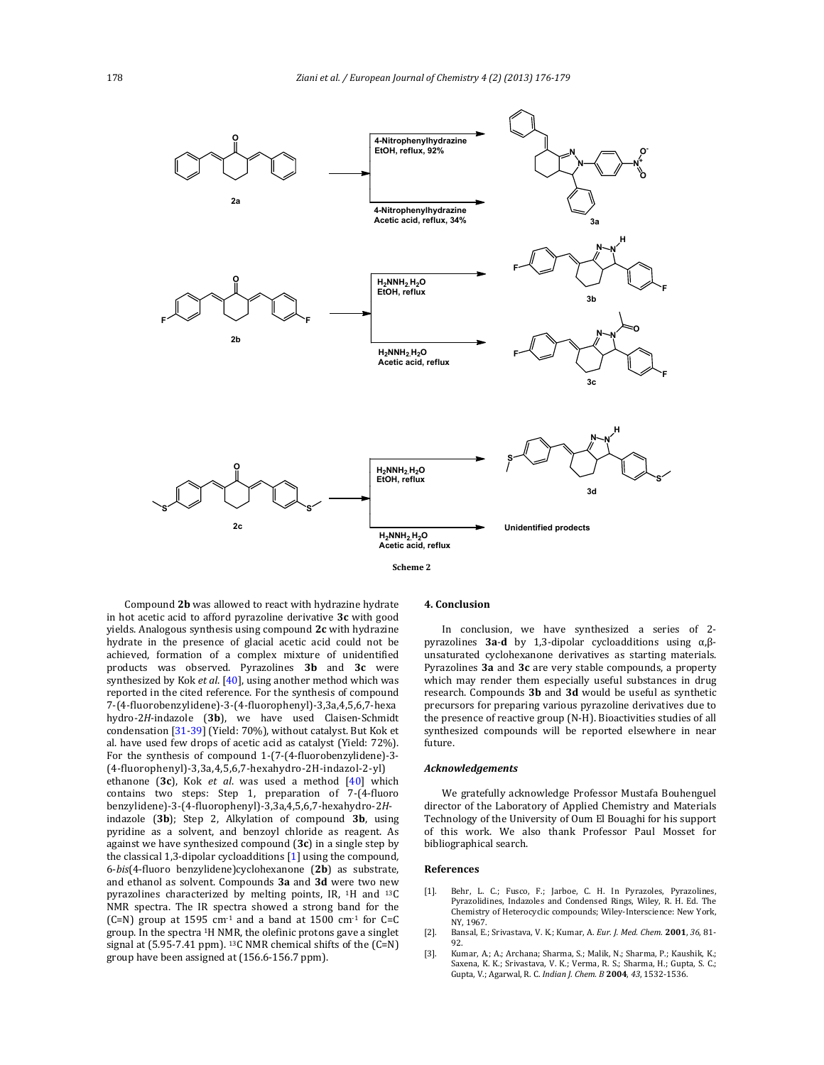

**Scheme 2**

Compound 2b was allowed to react with hydrazine hydrate in hot acetic acid to afford pyrazoline derivative **3c** with good yields. Analogous synthesis using compound 2c with hydrazine hydrate in the presence of glacial acetic acid could not be achieved, formation of a complex mixture of unidentified products was observed. Pyrazolines **3b** and **3c** were synthesized by Kok et al. [40], using another method which was reported in the cited reference. For the synthesis of compound 7‐(4‐fluorobenzylidene)‐3‐(4‐fluorophenyl)‐3,3a,4,5,6,7‐hexa hydro-2H-indazole (3b), we have used Claisen-Schmidt condensation [31-39] (Yield: 70%), without catalyst. But Kok et al. have used few drops of acetic acid as catalyst (Yield: 72%). For the synthesis of compound 1-(7-(4-fluorobenzylidene)-3-(4‐fluorophenyl)‐3,3a,4,5,6,7‐hexahydro‐2H‐indazol‐2‐yl) ethanone (3c), Kok *et al.* was used a method [40] which contains two steps: Step 1, preparation of 7-(4-fluoro benzylidene)‐3‐(4‐fluorophenyl)‐3,3a,4,5,6,7‐hexahydro‐2*H*‐ indazole (3b); Step 2, Alkylation of compound 3b, using pyridine as a solvent, and benzoyl chloride as reagent. As against we have synthesized compound (3c) in a single step by the classical 1,3-dipolar cycloadditions [1] using the compound, 6‐*bis*(4‐fluoro benzylidene)cyclohexanone (**2b**) as substrate, and ethanol as solvent. Compounds 3a and 3d were two new pyrazolines characterized by melting points, IR,  $1H$  and  $13C$ NMR spectra. The IR spectra showed a strong band for the (C=N) group at 1595 cm<sup>-1</sup> and a band at  $1500$  cm<sup>-1</sup> for C=C group. In the spectra <sup>1</sup>H NMR, the olefinic protons gave a singlet signal at  $(5.95-7.41$  ppm). <sup>13</sup>C NMR chemical shifts of the  $(C=N)$ group have been assigned at  $(156.6-156.7$  ppm).

# **4. Conclusion**

In conclusion, we have synthesized a series of 2pyrazolines **3a**‐**d** by 1,3‐dipolar cycloadditions using α,β‐ unsaturated cyclohexanone derivatives as starting materials. Pyrazolines **3a** and **3c** are very stable compounds, a property which may render them especially useful substances in drug research. Compounds **3b** and **3d** would be useful as synthetic precursors for preparing various pyrazoline derivatives due to the presence of reactive group (N-H). Bioactivities studies of all synthesized compounds will be reported elsewhere in near future. 

### *Acknowledgements*

We gratefully acknowledge Professor Mustafa Bouhenguel director of the Laboratory of Applied Chemistry and Materials Technology of the University of Oum El Bouaghi for his support of this work. We also thank Professor Paul Mosset for bibliographical search.

#### **References**

- [1]. Behr, L. C.; Fusco, F.; Jarboe, C. H. In Pyrazoles, Pyrazolines, Pyrazolidines, Indazoles and Condensed Rings, Wiley, R. H. Ed. The Chemistry of Heterocyclic compounds; Wiley-Interscience: New York, NY 1967
- [2]. Bansal, E.; Srivastava, V. K.; Kumar, A. *Eur. J. Med. Chem.* **2001**, 36, 81-92.
- [3]. Kumar, A.; A.; Archana; Sharma, S.; Malik, N.; Sharma, P.; Kaushik, K.; Saxena, K. K.; Srivastava, V. K.; Verma, R. S.; Sharma, H.; Gupta, S. C.; Gupta, V.; Agarwal, R. C. *Indian J. Chem. B* **2004**, *43*, 1532‐1536.